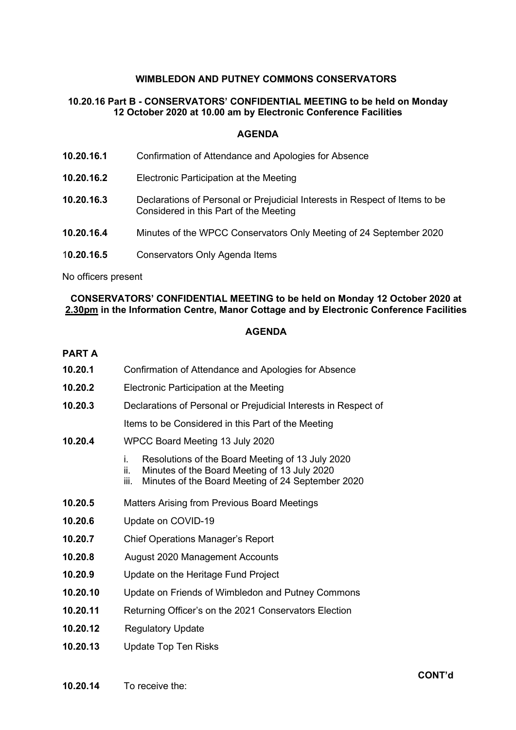## **WIMBLEDON AND PUTNEY COMMONS CONSERVATORS**

# **10.20.16 Part B - CONSERVATORS' CONFIDENTIAL MEETING to be held on Monday 12 October 2020 at 10.00 am by Electronic Conference Facilities**

### **AGENDA**

- **10.20.16.2** Electronic Participation at the Meeting
- **10.20.16.3** Declarations of Personal or Prejudicial Interests in Respect of Items to be Considered in this Part of the Meeting
- **10.20.16.4** Minutes of the WPCC Conservators Only Meeting of 24 September 2020
- 1**0.20.16.5** Conservators Only Agenda Items

No officers present

## **CONSERVATORS' CONFIDENTIAL MEETING to be held on Monday 12 October 2020 at 2.30pm in the Information Centre, Manor Cottage and by Electronic Conference Facilities**

### **AGENDA**

#### **PART A**

- **10.20.1** Confirmation of Attendance and Apologies for Absence
- **10.20.2** Electronic Participation at the Meeting
- **10.20.3** Declarations of Personal or Prejudicial Interests in Respect of

Items to be Considered in this Part of the Meeting

- **10.20.4** WPCC Board Meeting 13 July 2020
	- i. Resolutions of the Board Meeting of 13 July 2020
	- ii. Minutes of the Board Meeting of 13 July 2020<br>iii. Minutes of the Board Meeting of 24 Septembe
	- Minutes of the Board Meeting of 24 September 2020
- **10.20.5** Matters Arising from Previous Board Meetings
- **10.20.6** Update on COVID-19
- **10.20.7** Chief Operations Manager's Report
- **10.20.8** August 2020 Management Accounts
- **10.20.9** Update on the Heritage Fund Project
- **10.20.10** Update on Friends of Wimbledon and Putney Commons
- **10.20.11** Returning Officer's on the 2021 Conservators Election
- **10.20.12** Regulatory Update
- **10.20.13** Update Top Ten Risks